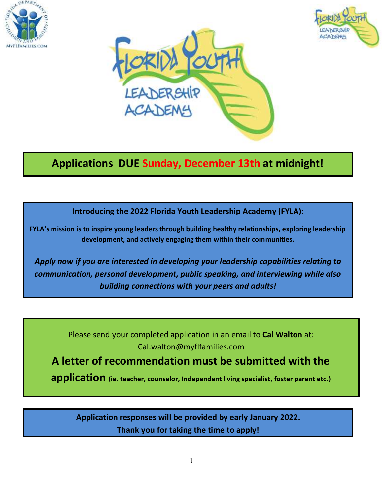





# **Applications DUE Sunday, December 13th at midnight!**

**Introducing the 2022 Florida Youth Leadership Academy (FYLA):**

**FYLA's mission is to inspire young leaders through building healthy relationships, exploring leadership development, and actively engaging them within their communities.** 

*Apply now if you are interested in developing your leadership capabilities relating to communication, personal development, public speaking, and interviewing while also building connections with your peers and adults!* 

> Please send your completed application in an email to **Cal Walton** at: Cal.walton@myflfamilies.com

# **A letter of recommendation must be submitted with the**

**application (ie. teacher, counselor, Independent living specialist, foster parent etc.)**

**Application responses will be provided by early January 2022. Thank you for taking the time to apply!**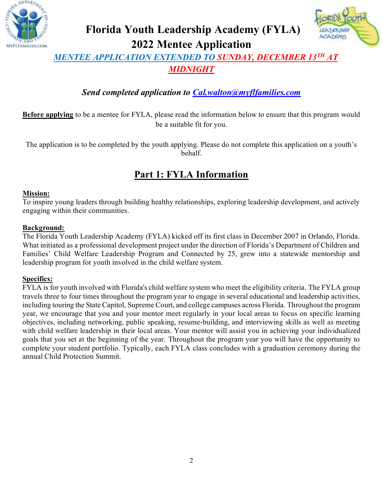



# **Florida Youth Leadership Academy (FYLA) 2022 Mentee Application**

## *MENTEE APPLICATION EXTENDED TO SUNDAY, DECEMBER 13TH AT MIDNIGHT*

*Send completed application to [Cal.walton@myflfamilies.com](mailto:Cal.walton@myflfamilies.com)*

**Before applying** to be a mentee for FYLA, please read the information below to ensure that this program would be a suitable fit for you.

The application is to be completed by the youth applying. Please do not complete this application on a youth's behalf.

## **Part 1: FYLA Information**

#### **Mission:**

To inspire young leaders through building healthy relationships, exploring leadership development, and actively engaging within their communities.

#### **Background:**

The Florida Youth Leadership Academy (FYLA) kicked off its first class in December 2007 in Orlando, Florida. What initiated as a professional development project under the direction of Florida's Department of Children and Families' Child Welfare Leadership Program and Connected by 25, grew into a statewide mentorship and leadership program for youth involved in the child welfare system.

#### **Specifics:**

FYLA is for youth involved with Florida's child welfare system who meet the eligibility criteria. The FYLA group travels three to four times throughout the program year to engage in several educational and leadership activities, including touring the State Capitol, Supreme Court, and college campuses across Florida. Throughout the program year, we encourage that you and your mentor meet regularly in your local areas to focus on specific learning objectives, including networking, public speaking, resume-building, and interviewing skills as well as meeting with child welfare leadership in their local areas. Your mentor will assist you in achieving your individualized goals that you set at the beginning of the year. Throughout the program year you will have the opportunity to complete your student portfolio. Typically, each FYLA class concludes with a graduation ceremony during the annual Child Protection Summit.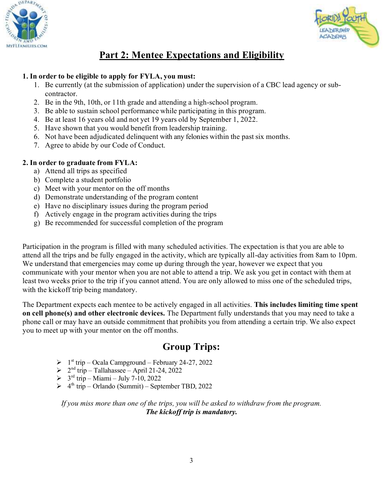



### **Part 2: Mentee Expectations and Eligibility**

#### **1. In order to be eligible to apply for FYLA, you must:**

- 1. Be currently (at the submission of application) under the supervision of a CBC lead agency or subcontractor.
- 2. Be in the 9th, 10th, or 11th grade and attending a high-school program.
- 3. Be able to sustain school performance while participating in this program.
- 4. Be at least 16 years old and not yet 19 years old by September 1, 2022.
- 5. Have shown that you would benefit from leadership training.
- 6. Not have been adjudicated delinquent with any felonies within the past six months.
- 7. Agree to abide by our Code of Conduct.

#### **2. In order to graduate from FYLA:**

- a) Attend all trips as specified
- b) Complete a student portfolio
- c) Meet with your mentor on the off months
- d) Demonstrate understanding of the program content
- e) Have no disciplinary issues during the program period
- f) Actively engage in the program activities during the trips
- g) Be recommended for successful completion of the program

Participation in the program is filled with many scheduled activities. The expectation is that you are able to attend all the trips and be fully engaged in the activity, which are typically all-day activities from 8am to 10pm. We understand that emergencies may come up during through the year, however we expect that you communicate with your mentor when you are not able to attend a trip. We ask you get in contact with them at least two weeks prior to the trip if you cannot attend. You are only allowed to miss one of the scheduled trips, with the kickoff trip being mandatory.

The Department expects each mentee to be actively engaged in all activities. **This includes limiting time spent on cell phone(s) and other electronic devices.** The Department fully understands that you may need to take a phone call or may have an outside commitment that prohibits you from attending a certain trip. We also expect you to meet up with your mentor on the off months.

### **Group Trips:**

- $> 1<sup>st</sup> trip Ocala Campground February 24-27, 2022$
- $\geq 2^{nd}$  trip Tallahassee April 21-24, 2022
- $> 3<sup>rd</sup> trip Miami July 7-10, 2022$
- $\triangleright$  4<sup>th</sup> trip Orlando (Summit) September TBD, 2022

*If you miss more than one of the trips, you will be asked to withdraw from the program. The kickoff trip is mandatory.*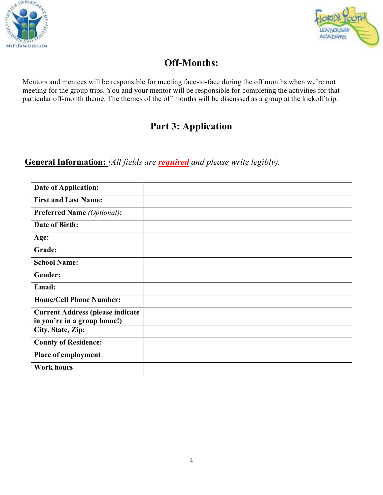



### **Off-Months:**

Mentors and mentees will be responsible for meeting face-to-face during the off months when we're not meeting for the group trips. You and your mentor will be responsible for completing the activities for that particular off-month theme. The themes of the off months will be discussed as a group at the kickoff trip.

### **Part 3: Application**

**General Information:** *(All fields are required and please write legibly).*

| Date of Application:                                                    |  |
|-------------------------------------------------------------------------|--|
| <b>First and Last Name:</b>                                             |  |
| <b>Preferred Name (Optional):</b>                                       |  |
| Date of Birth:                                                          |  |
| Age:                                                                    |  |
| Grade:                                                                  |  |
| <b>School Name:</b>                                                     |  |
| Gender:                                                                 |  |
| Email:                                                                  |  |
| <b>Home/Cell Phone Number:</b>                                          |  |
| <b>Current Address (please indicate)</b><br>in you're in a group home!) |  |
| City, State, Zip:                                                       |  |
| <b>County of Residence:</b>                                             |  |
| Place of employment                                                     |  |
| <b>Work hours</b>                                                       |  |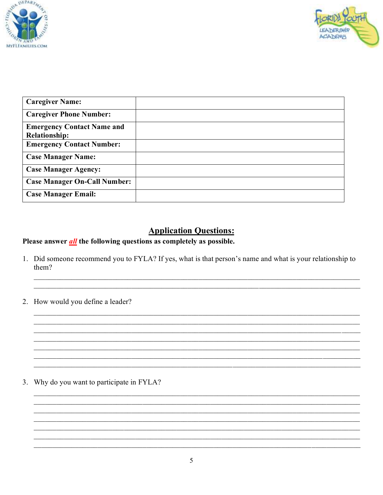



| <b>Caregiver Name:</b>              |  |
|-------------------------------------|--|
| <b>Caregiver Phone Number:</b>      |  |
| <b>Emergency Contact Name and</b>   |  |
| <b>Relationship:</b>                |  |
| <b>Emergency Contact Number:</b>    |  |
| <b>Case Manager Name:</b>           |  |
| <b>Case Manager Agency:</b>         |  |
| <b>Case Manager On-Call Number:</b> |  |
| <b>Case Manager Email:</b>          |  |

### **Application Questions:**

#### Please answer  $\frac{dl}{dt}$  the following questions as completely as possible.

- 1. Did someone recommend you to FYLA? If yes, what is that person's name and what is your relationship to them?
- 2. How would you define a leader?

3. Why do you want to participate in FYLA?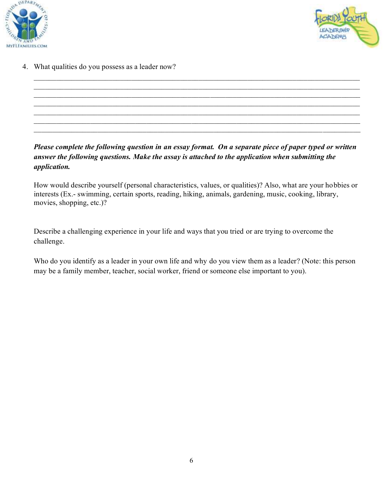



4. What qualities do you possess as a leader now?

#### *Please complete the following question in an essay format. On a separate piece of paper typed or written answer the following questions. Make the assay is attached to the application when submitting the application.*

How would describe yourself (personal characteristics, values, or qualities)? Also, what are your hobbies or interests (Ex.- swimming, certain sports, reading, hiking, animals, gardening, music, cooking, library, movies, shopping, etc.)?

Describe a challenging experience in your life and ways that you tried or are trying to overcome the challenge.

Who do you identify as a leader in your own life and why do you view them as a leader? (Note: this person may be a family member, teacher, social worker, friend or someone else important to you).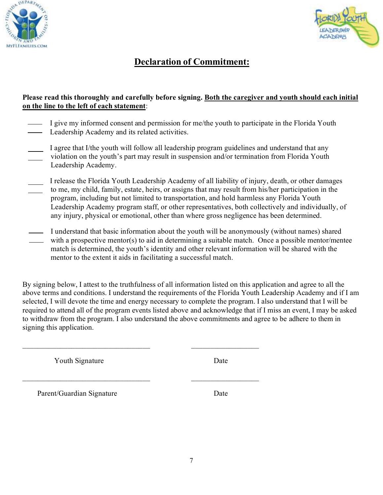



### **Declaration of Commitment:**

#### **Please read this thoroughly and carefully before signing. Both the caregiver and youth should each initial on the line to the left of each statement**:

- I give my informed consent and permission for me/the youth to participate in the Florida Youth Leadership Academy and its related activities.
- I agree that I/the youth will follow all leadership program guidelines and understand that any violation on the youth's part may result in suspension and/or termination from Florida Youth Leadership Academy.
- I release the Florida Youth Leadership Academy of all liability of injury, death, or other damages to me, my child, family, estate, heirs, or assigns that may result from his/her participation in the program, including but not limited to transportation, and hold harmless any Florida Youth Leadership Academy program staff, or other representatives, both collectively and individually, of any injury, physical or emotional, other than where gross negligence has been determined.
- I understand that basic information about the youth will be anonymously (without names) shared with a prospective mentor(s) to aid in determining a suitable match. Once a possible mentor/mentee match is determined, the youth's identity and other relevant information will be shared with the mentor to the extent it aids in facilitating a successful match.

By signing below, I attest to the truthfulness of all information listed on this application and agree to all the above terms and conditions. I understand the requirements of the Florida Youth Leadership Academy and if I am selected, I will devote the time and energy necessary to complete the program. I also understand that I will be required to attend all of the program events listed above and acknowledge that if I miss an event, I may be asked to withdraw from the program. I also understand the above commitments and agree to be adhere to them in signing this application.

 $\mathcal{L}_\text{max} = \frac{1}{2} \sum_{i=1}^{n} \frac{1}{2} \sum_{i=1}^{n} \frac{1}{2} \sum_{i=1}^{n} \frac{1}{2} \sum_{i=1}^{n} \frac{1}{2} \sum_{i=1}^{n} \frac{1}{2} \sum_{i=1}^{n} \frac{1}{2} \sum_{i=1}^{n} \frac{1}{2} \sum_{i=1}^{n} \frac{1}{2} \sum_{i=1}^{n} \frac{1}{2} \sum_{i=1}^{n} \frac{1}{2} \sum_{i=1}^{n} \frac{1}{2} \sum_{i=1}^{n} \frac{1$ 

 $\mathcal{L}_\text{max} = \frac{1}{2} \sum_{i=1}^{n} \frac{1}{2} \sum_{i=1}^{n} \frac{1}{2} \sum_{i=1}^{n} \frac{1}{2} \sum_{i=1}^{n} \frac{1}{2} \sum_{i=1}^{n} \frac{1}{2} \sum_{i=1}^{n} \frac{1}{2} \sum_{i=1}^{n} \frac{1}{2} \sum_{i=1}^{n} \frac{1}{2} \sum_{i=1}^{n} \frac{1}{2} \sum_{i=1}^{n} \frac{1}{2} \sum_{i=1}^{n} \frac{1}{2} \sum_{i=1}^{n} \frac{1$ 

Youth Signature Date

Parent/Guardian Signature Date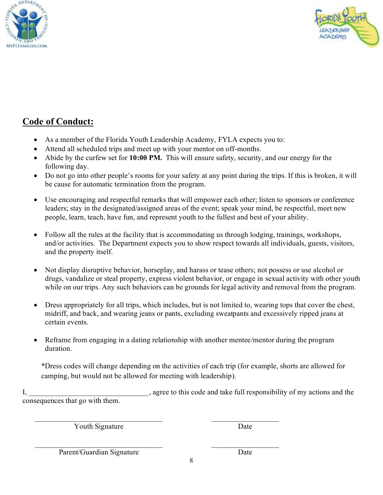



### **Code of Conduct:**

- As a member of the Florida Youth Leadership Academy, FYLA expects you to:
- Attend all scheduled trips and meet up with your mentor on off-months.
- Abide by the curfew set for **10:00 PM.** This will ensure safety, security, and our energy for the following day.
- Do not go into other people's rooms for your safety at any point during the trips. If this is broken, it will be cause for automatic termination from the program.
- Use encouraging and respectful remarks that will empower each other; listen to sponsors or conference leaders; stay in the designated/assigned areas of the event; speak your mind, be respectful, meet new people, learn, teach, have fun, and represent youth to the fullest and best of your ability.
- Follow all the rules at the facility that is accommodating us through lodging, trainings, workshops, and/or activities. The Department expects you to show respect towards all individuals, guests, visitors, and the property itself.
- Not display disruptive behavior, horseplay, and harass or tease others; not possess or use alcohol or drugs, vandalize or steal property, express violent behavior, or engage in sexual activity with other youth while on our trips. Any such behaviors can be grounds for legal activity and removal from the program.
- Dress appropriately for all trips, which includes, but is not limited to, wearing tops that cover the chest, midriff, and back, and wearing jeans or pants, excluding sweatpants and excessively ripped jeans at certain events.
- Reframe from engaging in a dating relationship with another mentee/mentor during the program duration.

\*Dress codes will change depending on the activities of each trip (for example, shorts are allowed for camping, but would not be allowed for meeting with leadership).

I, agree to this code and take full responsibility of my actions and the consequences that go with them.

Youth Signature

Date

Parent/Guardian Signature

Date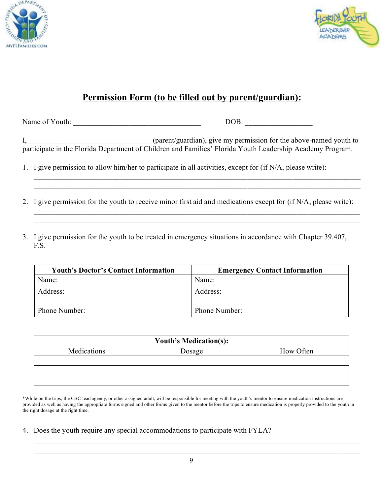



### **Permission Form (to be filled out by parent/guardian):**

Name of Youth: \_\_\_\_\_\_\_\_\_\_\_\_\_\_\_\_\_\_\_\_\_\_\_\_\_\_\_\_\_\_\_\_\_\_ DOB: \_\_\_\_\_\_\_\_\_\_\_\_\_\_\_\_\_\_

I, \_\_\_\_\_\_\_\_\_\_\_\_\_\_\_\_\_\_\_\_\_\_\_\_\_\_\_\_\_\_\_\_\_(parent/guardian), give my permission for the above-named youth to participate in the Florida Department of Children and Families' Florida Youth Leadership Academy Program.

- 1. I give permission to allow him/her to participate in all activities, except for (if N/A, please write):
- 2. I give permission for the youth to receive minor first aid and medications except for (if N/A, please write):
- 3. I give permission for the youth to be treated in emergency situations in accordance with Chapter 39.407, F.S.

| <b>Youth's Doctor's Contact Information</b> | <b>Emergency Contact Information</b> |
|---------------------------------------------|--------------------------------------|
| Name:                                       | Name:                                |
| Address:                                    | Address:                             |
| Phone Number:                               | Phone Number:                        |

| <b>Youth's Medication(s):</b> |        |           |  |
|-------------------------------|--------|-----------|--|
| Medications                   | Dosage | How Often |  |
|                               |        |           |  |
|                               |        |           |  |
|                               |        |           |  |
|                               |        |           |  |

\*While on the trips, the CBC lead agency, or other assigned adult, will be responsible for meeting with the youth's mentor to ensure medication instructions are provided as well as having the appropriate forms signed and other forms given to the mentor before the trips to ensure medication is properly provided to the youth in the right dosage at the right time.

4. Does the youth require any special accommodations to participate with FYLA?

 $\mathcal{L}_\mathcal{L} = \{ \mathcal{L}_\mathcal{L} = \{ \mathcal{L}_\mathcal{L} = \{ \mathcal{L}_\mathcal{L} = \{ \mathcal{L}_\mathcal{L} = \{ \mathcal{L}_\mathcal{L} = \{ \mathcal{L}_\mathcal{L} = \{ \mathcal{L}_\mathcal{L} = \{ \mathcal{L}_\mathcal{L} = \{ \mathcal{L}_\mathcal{L} = \{ \mathcal{L}_\mathcal{L} = \{ \mathcal{L}_\mathcal{L} = \{ \mathcal{L}_\mathcal{L} = \{ \mathcal{L}_\mathcal{L} = \{ \mathcal{L}_\mathcal{$